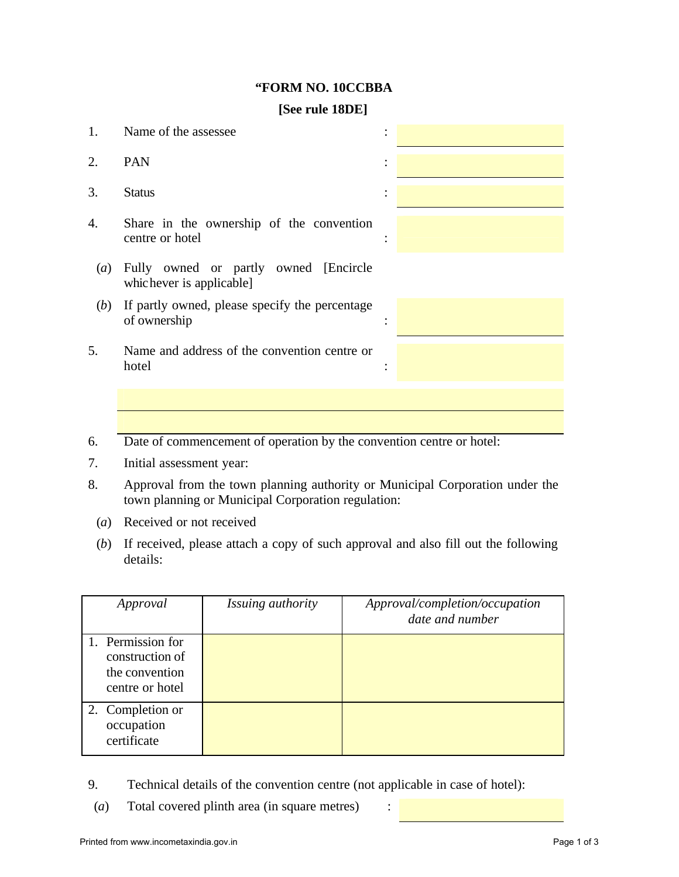## **"FORM NO. 10CCBBA**

## **[See rule 18DE]**

| 1.               | Name of the assessee                                                 |  |
|------------------|----------------------------------------------------------------------|--|
| 2.               | <b>PAN</b>                                                           |  |
| 3.               | <b>Status</b>                                                        |  |
| 4.               | Share in the ownership of the convention<br>centre or hotel          |  |
| $\left(a\right)$ | Fully owned or partly owned [Encircle]<br>whichever is applicable]   |  |
| (b)              | If partly owned, please specify the percentage<br>of ownership       |  |
| 5.               | Name and address of the convention centre or<br>hotel                |  |
|                  |                                                                      |  |
| $\epsilon$       | Data of commancement of operation by the convention centre or hotel. |  |

- 6. Date of commencement of operation by the convention centre or hotel:
- 7. Initial assessment year:
- 8. Approval from the town planning authority or Municipal Corporation under the town planning or Municipal Corporation regulation:
	- (*a*) Received or not received
- (*b*) If received, please attach a copy of such approval and also fill out the following details:

| Approval                                                                  | Issuing authority | Approval/completion/occupation<br>date and number |
|---------------------------------------------------------------------------|-------------------|---------------------------------------------------|
| 1. Permission for<br>construction of<br>the convention<br>centre or hotel |                   |                                                   |
| 2. Completion or<br>occupation<br>certificate                             |                   |                                                   |

- 9. Technical details of the convention centre (not applicable in case of hotel):
- (*a*) Total covered plinth area (in square metres) :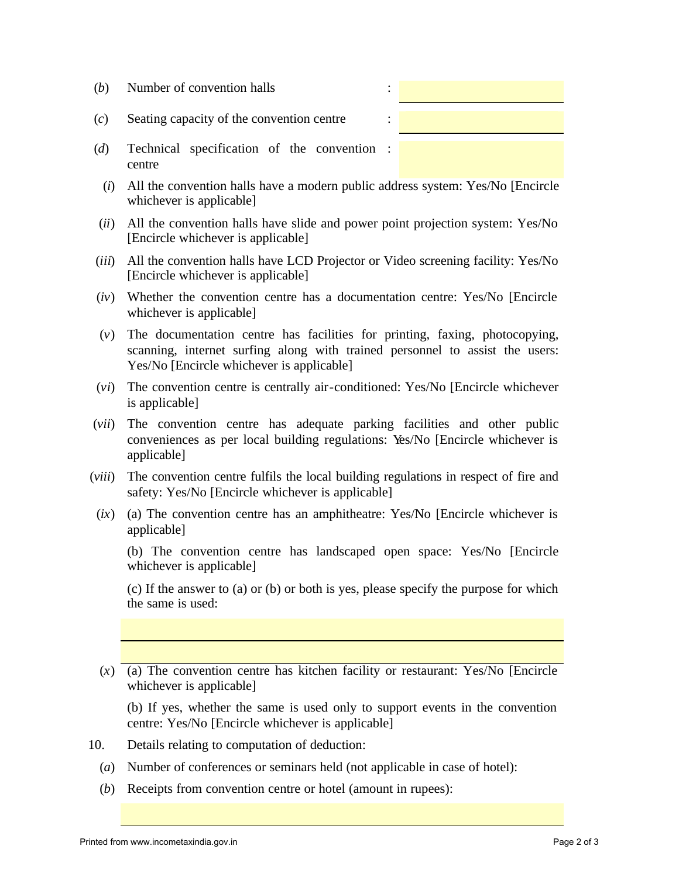| (b) | Number of convention halls                                  |  |
|-----|-------------------------------------------------------------|--|
| (c) | Seating capacity of the convention centre<br>٠<br>$\bullet$ |  |

- (*d*) Technical specification of the convention : centre
- (*i*) All the convention halls have a modern public address system: Yes/No [Encircle whichever is applicable]
- (*ii*) All the convention halls have slide and power point projection system: Yes/No [Encircle whichever is applicable]
- (*iii*) All the convention halls have LCD Projector or Video screening facility: Yes/No [Encircle whichever is applicable]
- (*iv*) Whether the convention centre has a documentation centre: Yes/No [Encircle whichever is applicable]
- (*v*) The documentation centre has facilities for printing, faxing, photocopying, scanning, internet surfing along with trained personnel to assist the users: Yes/No [Encircle whichever is applicable]
- (*vi*) The convention centre is centrally air-conditioned: Yes/No [Encircle whichever is applicable]
- (*vii*) The convention centre has adequate parking facilities and other public conveniences as per local building regulations: Yes/No [Encircle whichever is applicable]
- (*viii*) The convention centre fulfils the local building regulations in respect of fire and safety: Yes/No [Encircle whichever is applicable]
- (*ix*) (a) The convention centre has an amphitheatre: Yes/No [Encircle whichever is applicable]

(b) The convention centre has landscaped open space: Yes/No [Encircle whichever is applicable]

(c) If the answer to (a) or (b) or both is yes, please specify the purpose for which the same is used:

 $(x)$  (a) The convention centre has kitchen facility or restaurant: Yes/No [Encircle whichever is applicable]

(b) If yes, whether the same is used only to support events in the convention centre: Yes/No [Encircle whichever is applicable]

- 10. Details relating to computation of deduction:
	- (*a*) Number of conferences or seminars held (not applicable in case of hotel):
	- (*b*) Receipts from convention centre or hotel (amount in rupees):